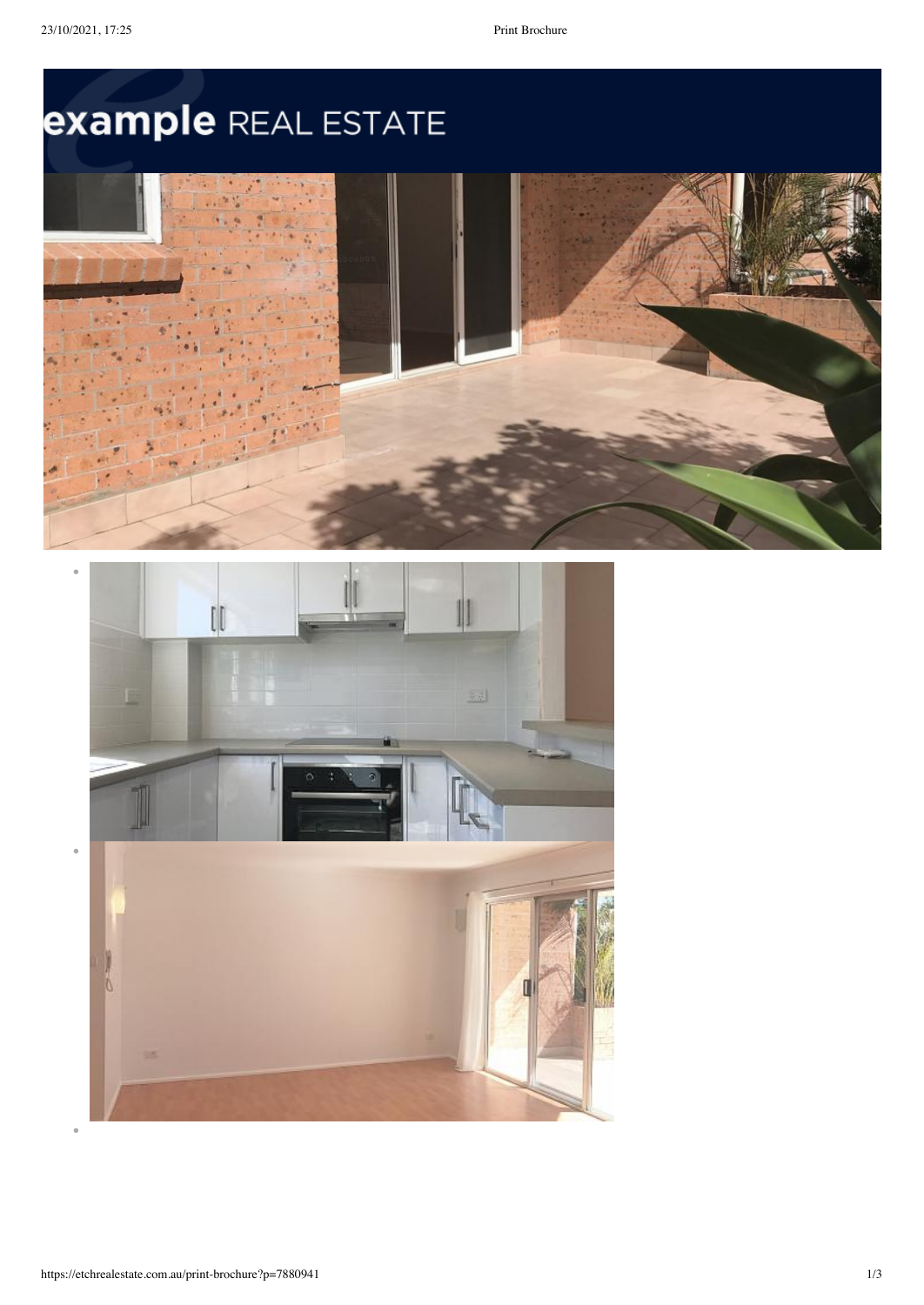# example REAL ESTATE



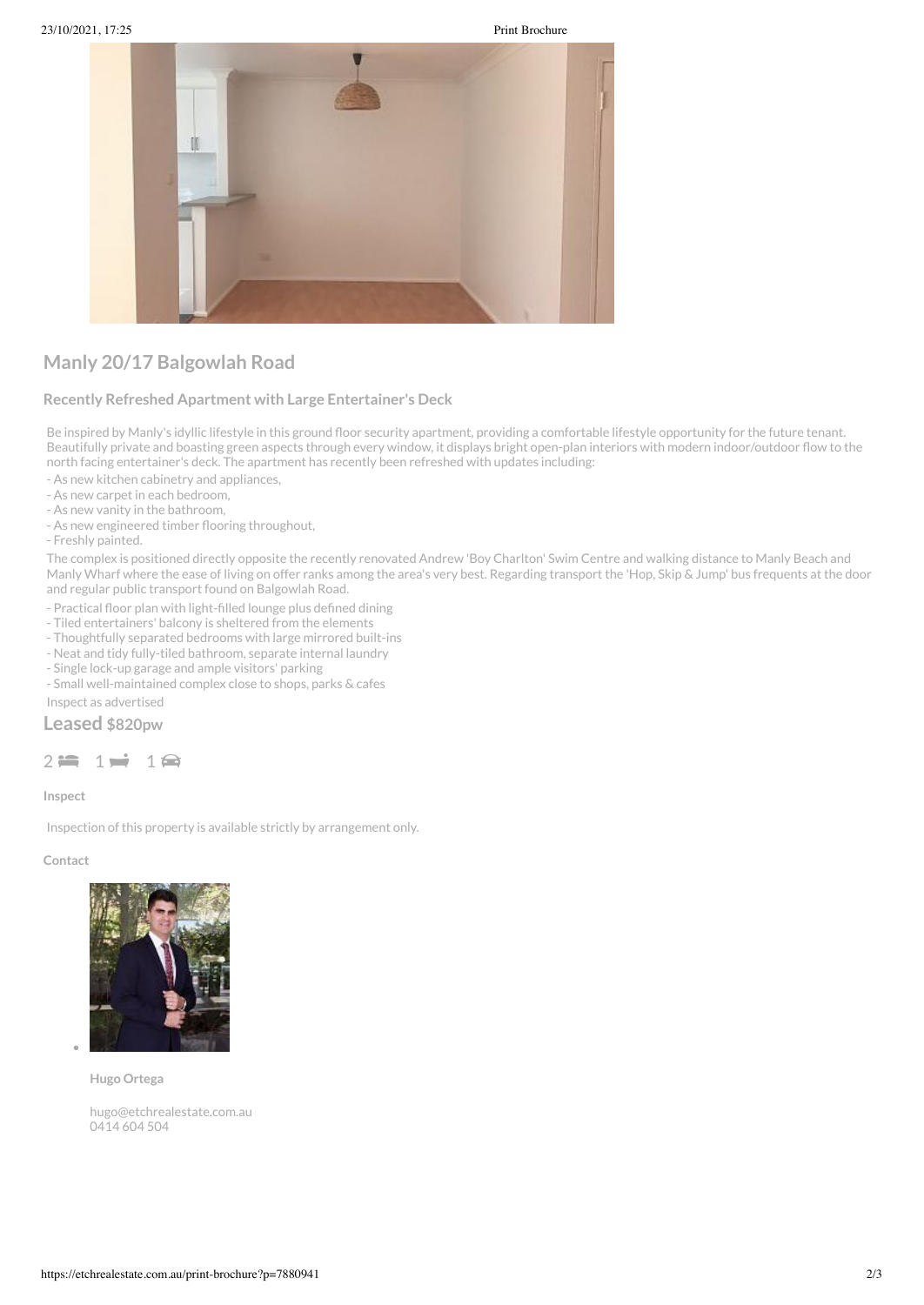

## **Manly 20/17 Balgowlah Road**

#### **Recently Refreshed Apartment with Large Entertainer's Deck**

Be inspired by Manly's idyllic lifestyle in this ground floor security apartment, providing a comfortable lifestyle opportunity for the future tenant. Beautifully private and boasting green aspects through every window, it displays bright open-plan interiors with modern indoor/outdoor flow to the north facing entertainer's deck. The apartment has recently been refreshed with updates including:

- As new kitchen cabinetry and appliances,

- As new carpet in each bedroom,

- As new vanity in the bathroom,

- As new engineered timber flooring throughout,

- Freshly painted.

The complex is positioned directly opposite the recently renovated Andrew 'Boy Charlton' Swim Centre and walking distance to Manly Beach and Manly Wharf where the ease of living on offer ranks among the area's very best. Regarding transport the 'Hop, Skip & Jump' bus frequents at the door and regular public transport found on Balgowlah Road.

- Practical floor plan with light-filled lounge plus defined dining

- Tiled entertainers' balcony is sheltered from the elements

- Thoughtfully separated bedrooms with large mirrored built-ins

- Neat and tidy fully-tiled bathroom, separate internal laundry

- Single lock-up garage and ample visitors' parking

- Small well-maintained complex close to shops, parks & cafes

Inspect as advertised

### **Leased \$820pw**

#### $2 \Leftrightarrow 1 \Rightarrow 1 \Leftrightarrow$

**Inspect**

Inspection of this property is available strictly by arrangement only.

#### **Contact**



**Hugo Ortega**

[hugo@etchrealestate.com.au](mailto:hugo@etchrealestate.com.au) [0414](tel:0414 604 504) 604 504